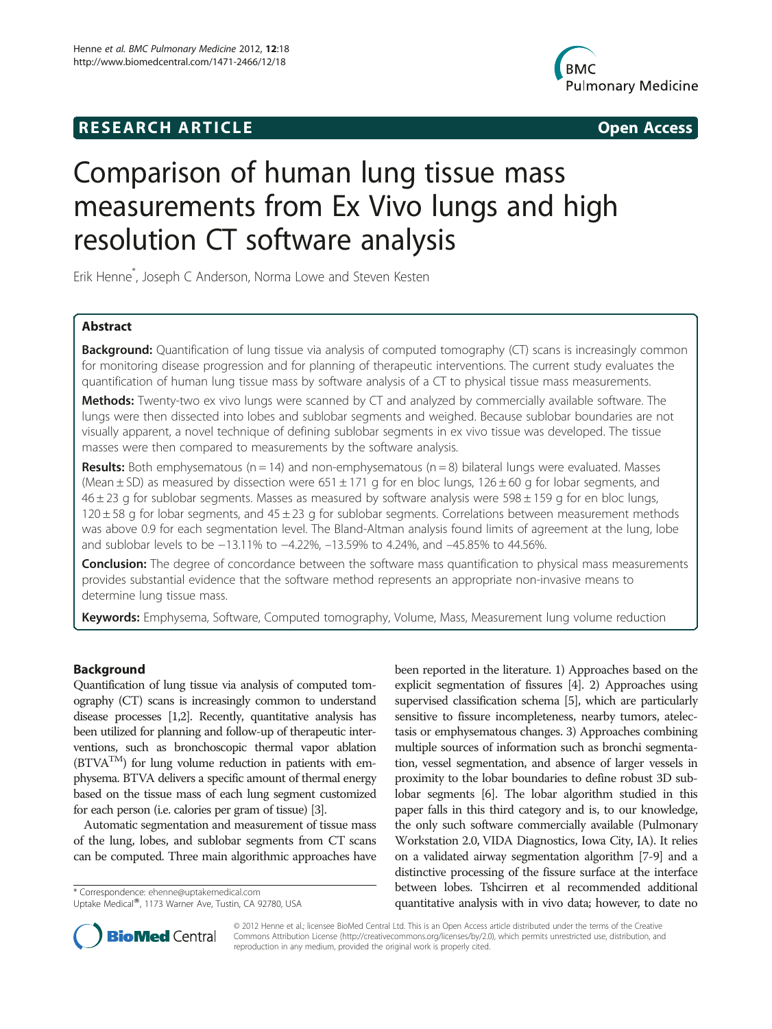# **RESEARCH ARTICLE Example 2014 12:30 The SEAR CHA RESEARCH ARTICLE**



# Comparison of human lung tissue mass measurements from Ex Vivo lungs and high resolution CT software analysis

Erik Henne\* , Joseph C Anderson, Norma Lowe and Steven Kesten

# Abstract

Background: Quantification of lung tissue via analysis of computed tomography (CT) scans is increasingly common for monitoring disease progression and for planning of therapeutic interventions. The current study evaluates the quantification of human lung tissue mass by software analysis of a CT to physical tissue mass measurements.

Methods: Twenty-two ex vivo lungs were scanned by CT and analyzed by commercially available software. The lungs were then dissected into lobes and sublobar segments and weighed. Because sublobar boundaries are not visually apparent, a novel technique of defining sublobar segments in ex vivo tissue was developed. The tissue masses were then compared to measurements by the software analysis.

**Results:** Both emphysematous (n = 14) and non-emphysematous (n = 8) bilateral lungs were evaluated. Masses (Mean  $\pm$  SD) as measured by dissection were 651  $\pm$  171 g for en bloc lungs, 126  $\pm$  60 g for lobar segments, and  $46 \pm 23$  g for sublobar segments. Masses as measured by software analysis were 598 $\pm$ 159 g for en bloc lungs,  $120 \pm 58$  g for lobar segments, and  $45 \pm 23$  g for sublobar segments. Correlations between measurement methods was above 0.9 for each segmentation level. The Bland-Altman analysis found limits of agreement at the lung, lobe and sublobar levels to be −13.11% to −4.22%, –13.59% to 4.24%, and –45.85% to 44.56%.

**Conclusion:** The degree of concordance between the software mass quantification to physical mass measurements provides substantial evidence that the software method represents an appropriate non-invasive means to determine lung tissue mass.

Keywords: Emphysema, Software, Computed tomography, Volume, Mass, Measurement lung volume reduction

# Background

Quantification of lung tissue via analysis of computed tomography (CT) scans is increasingly common to understand disease processes [[1,2\]](#page-5-0). Recently, quantitative analysis has been utilized for planning and follow-up of therapeutic interventions, such as bronchoscopic thermal vapor ablation  $(BTVA<sup>TM</sup>)$  for lung volume reduction in patients with emphysema. BTVA delivers a specific amount of thermal energy based on the tissue mass of each lung segment customized for each person (i.e. calories per gram of tissue) [\[3](#page-5-0)].

Automatic segmentation and measurement of tissue mass of the lung, lobes, and sublobar segments from CT scans can be computed. Three main algorithmic approaches have

\* Correspondence: [ehenne@uptakemedical.com](mailto:ehenne@uptakemedical.com) Uptake Medical®, 1173 Warner Ave, Tustin, CA 92780, USA been reported in the literature. 1) Approaches based on the explicit segmentation of fissures [\[4\]](#page-5-0). 2) Approaches using supervised classification schema [\[5](#page-5-0)], which are particularly sensitive to fissure incompleteness, nearby tumors, atelectasis or emphysematous changes. 3) Approaches combining multiple sources of information such as bronchi segmentation, vessel segmentation, and absence of larger vessels in proximity to the lobar boundaries to define robust 3D sublobar segments [\[6](#page-5-0)]. The lobar algorithm studied in this paper falls in this third category and is, to our knowledge, the only such software commercially available (Pulmonary Workstation 2.0, VIDA Diagnostics, Iowa City, IA). It relies on a validated airway segmentation algorithm [\[7-9\]](#page-5-0) and a distinctive processing of the fissure surface at the interface between lobes. Tshcirren et al recommended additional quantitative analysis with in vivo data; however, to date no



© 2012 Henne et al.; licensee BioMed Central Ltd. This is an Open Access article distributed under the terms of the Creative Commons Attribution License [\(http://creativecommons.org/licenses/by/2.0\)](http://creativecommons.org/licenses/by/2.0), which permits unrestricted use, distribution, and reproduction in any medium, provided the original work is properly cited.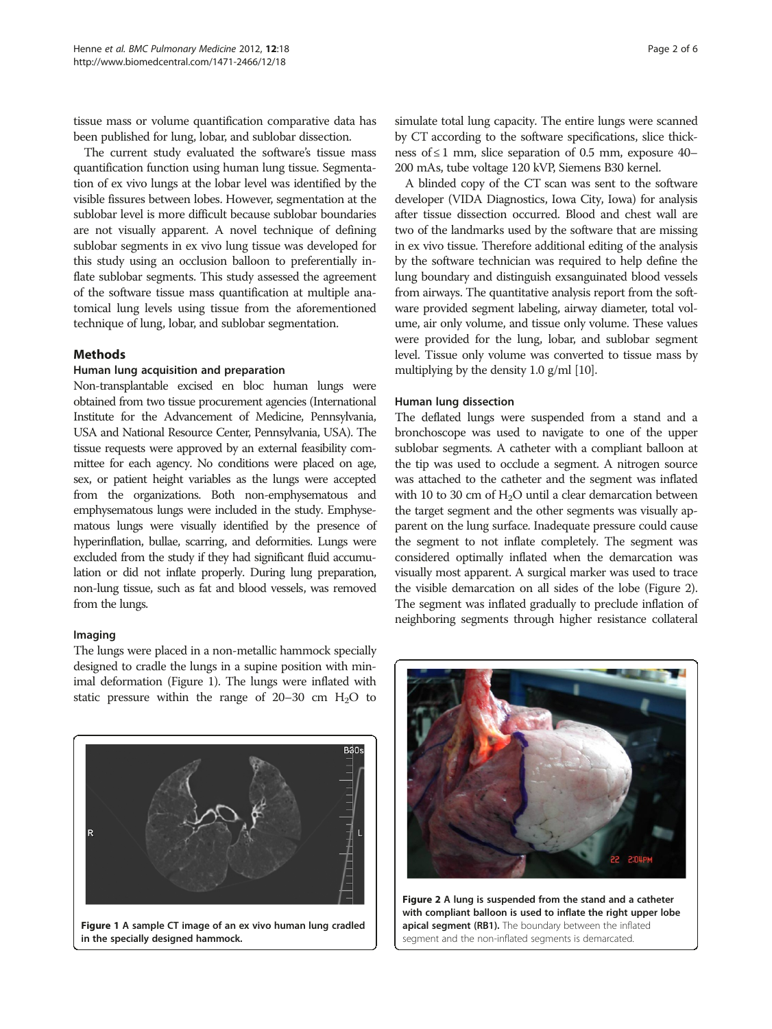tissue mass or volume quantification comparative data has been published for lung, lobar, and sublobar dissection.

The current study evaluated the software's tissue mass quantification function using human lung tissue. Segmentation of ex vivo lungs at the lobar level was identified by the visible fissures between lobes. However, segmentation at the sublobar level is more difficult because sublobar boundaries are not visually apparent. A novel technique of defining sublobar segments in ex vivo lung tissue was developed for this study using an occlusion balloon to preferentially inflate sublobar segments. This study assessed the agreement of the software tissue mass quantification at multiple anatomical lung levels using tissue from the aforementioned technique of lung, lobar, and sublobar segmentation.

# Methods

### Human lung acquisition and preparation

Non-transplantable excised en bloc human lungs were obtained from two tissue procurement agencies (International Institute for the Advancement of Medicine, Pennsylvania, USA and National Resource Center, Pennsylvania, USA). The tissue requests were approved by an external feasibility committee for each agency. No conditions were placed on age, sex, or patient height variables as the lungs were accepted from the organizations. Both non-emphysematous and emphysematous lungs were included in the study. Emphysematous lungs were visually identified by the presence of hyperinflation, bullae, scarring, and deformities. Lungs were excluded from the study if they had significant fluid accumulation or did not inflate properly. During lung preparation, non-lung tissue, such as fat and blood vessels, was removed from the lungs.

#### Imaging

The lungs were placed in a non-metallic hammock specially designed to cradle the lungs in a supine position with minimal deformation (Figure 1). The lungs were inflated with static pressure within the range of  $20-30$  cm  $H<sub>2</sub>O$  to



simulate total lung capacity. The entire lungs were scanned by CT according to the software specifications, slice thickness of  $\leq 1$  mm, slice separation of 0.5 mm, exposure 40– 200 mAs, tube voltage 120 kVP, Siemens B30 kernel.

A blinded copy of the CT scan was sent to the software developer (VIDA Diagnostics, Iowa City, Iowa) for analysis after tissue dissection occurred. Blood and chest wall are two of the landmarks used by the software that are missing in ex vivo tissue. Therefore additional editing of the analysis by the software technician was required to help define the lung boundary and distinguish exsanguinated blood vessels from airways. The quantitative analysis report from the software provided segment labeling, airway diameter, total volume, air only volume, and tissue only volume. These values were provided for the lung, lobar, and sublobar segment level. Tissue only volume was converted to tissue mass by multiplying by the density 1.0 g/ml [[10\]](#page-5-0).

# Human lung dissection

The deflated lungs were suspended from a stand and a bronchoscope was used to navigate to one of the upper sublobar segments. A catheter with a compliant balloon at the tip was used to occlude a segment. A nitrogen source was attached to the catheter and the segment was inflated with 10 to 30 cm of  $H_2O$  until a clear demarcation between the target segment and the other segments was visually apparent on the lung surface. Inadequate pressure could cause the segment to not inflate completely. The segment was considered optimally inflated when the demarcation was visually most apparent. A surgical marker was used to trace the visible demarcation on all sides of the lobe (Figure 2). The segment was inflated gradually to preclude inflation of neighboring segments through higher resistance collateral



Figure 2 A lung is suspended from the stand and a catheter with compliant balloon is used to inflate the right upper lobe apical segment (RB1). The boundary between the inflated segment and the non-inflated segments is demarcated.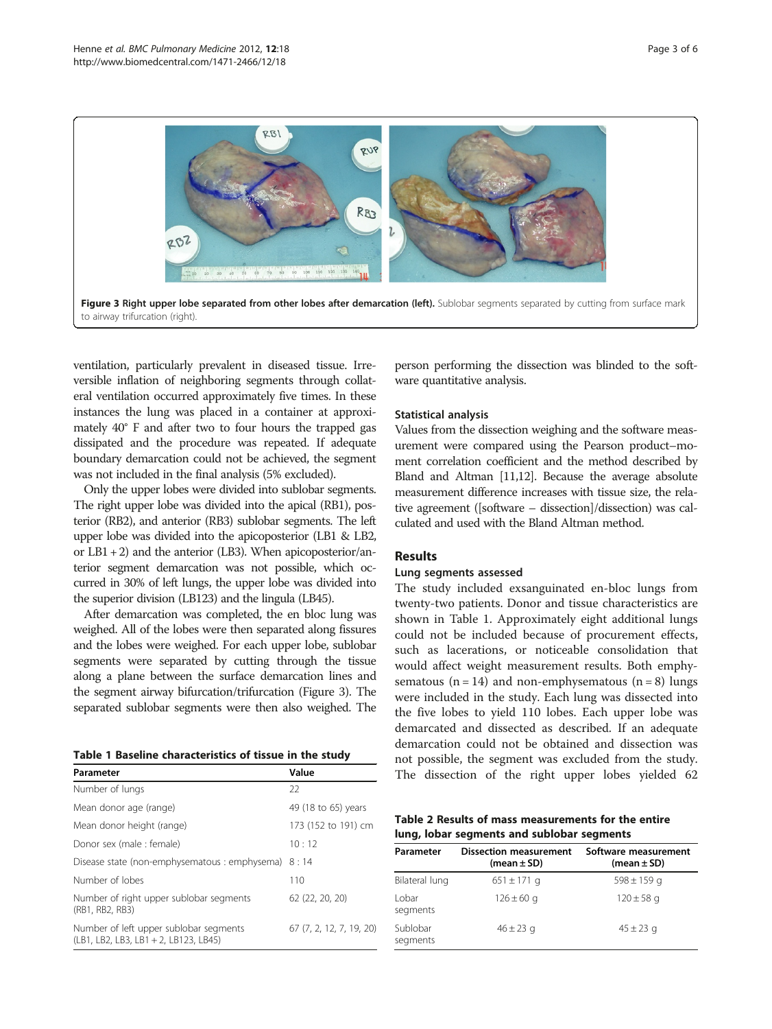<span id="page-2-0"></span>

ventilation, particularly prevalent in diseased tissue. Irreversible inflation of neighboring segments through collateral ventilation occurred approximately five times. In these instances the lung was placed in a container at approximately 40° F and after two to four hours the trapped gas dissipated and the procedure was repeated. If adequate boundary demarcation could not be achieved, the segment was not included in the final analysis (5% excluded).

Only the upper lobes were divided into sublobar segments. The right upper lobe was divided into the apical (RB1), posterior (RB2), and anterior (RB3) sublobar segments. The left upper lobe was divided into the apicoposterior (LB1 & LB2, or  $LB1 + 2$ ) and the anterior (LB3). When apicoposterior/anterior segment demarcation was not possible, which occurred in 30% of left lungs, the upper lobe was divided into the superior division (LB123) and the lingula (LB45).

After demarcation was completed, the en bloc lung was weighed. All of the lobes were then separated along fissures and the lobes were weighed. For each upper lobe, sublobar segments were separated by cutting through the tissue along a plane between the surface demarcation lines and the segment airway bifurcation/trifurcation (Figure 3). The separated sublobar segments were then also weighed. The

|  |  | Table 1 Baseline characteristics of tissue in the study |  |  |  |
|--|--|---------------------------------------------------------|--|--|--|
|--|--|---------------------------------------------------------|--|--|--|

| Parameter                                                                       | Value                    |  |  |
|---------------------------------------------------------------------------------|--------------------------|--|--|
| Number of lungs                                                                 | 22                       |  |  |
| Mean donor age (range)                                                          | 49 (18 to 65) years      |  |  |
| Mean donor height (range)                                                       | 173 (152 to 191) cm      |  |  |
| Donor sex (male : female)                                                       | 10:12                    |  |  |
| Disease state (non-emphysematous : emphysema)                                   | 8:14                     |  |  |
| Number of lobes                                                                 | 110                      |  |  |
| Number of right upper sublobar segments<br>(RB1, RB2, RB3)                      | 62 (22, 20, 20)          |  |  |
| Number of left upper sublobar segments<br>(LB1, LB2, LB3, LB1 + 2, LB123, LB45) | 67 (7, 2, 12, 7, 19, 20) |  |  |

person performing the dissection was blinded to the software quantitative analysis.

# Statistical analysis

Values from the dissection weighing and the software measurement were compared using the Pearson product–moment correlation coefficient and the method described by Bland and Altman [[11,12](#page-5-0)]. Because the average absolute measurement difference increases with tissue size, the relative agreement ([software – dissection]/dissection) was calculated and used with the Bland Altman method.

# **Results**

#### Lung segments assessed

The study included exsanguinated en-bloc lungs from twenty-two patients. Donor and tissue characteristics are shown in Table 1. Approximately eight additional lungs could not be included because of procurement effects, such as lacerations, or noticeable consolidation that would affect weight measurement results. Both emphysematous ( $n = 14$ ) and non-emphysematous ( $n = 8$ ) lungs were included in the study. Each lung was dissected into the five lobes to yield 110 lobes. Each upper lobe was demarcated and dissected as described. If an adequate demarcation could not be obtained and dissection was not possible, the segment was excluded from the study. The dissection of the right upper lobes yielded 62

Table 2 Results of mass measurements for the entire lung, lobar segments and sublobar segments

| Parameter            | <b>Dissection measurement</b><br>$(mean \pm SD)$ | Software measurement<br>$(mean \pm SD)$ |
|----------------------|--------------------------------------------------|-----------------------------------------|
| Bilateral lung       | $651 \pm 171$ q                                  | $598 \pm 159$ q                         |
| I obar<br>segments   | $126 \pm 60$ g                                   | $120 \pm 58$ g                          |
| Sublobar<br>segments | $46 \pm 23$ g                                    | $45 \pm 23$ g                           |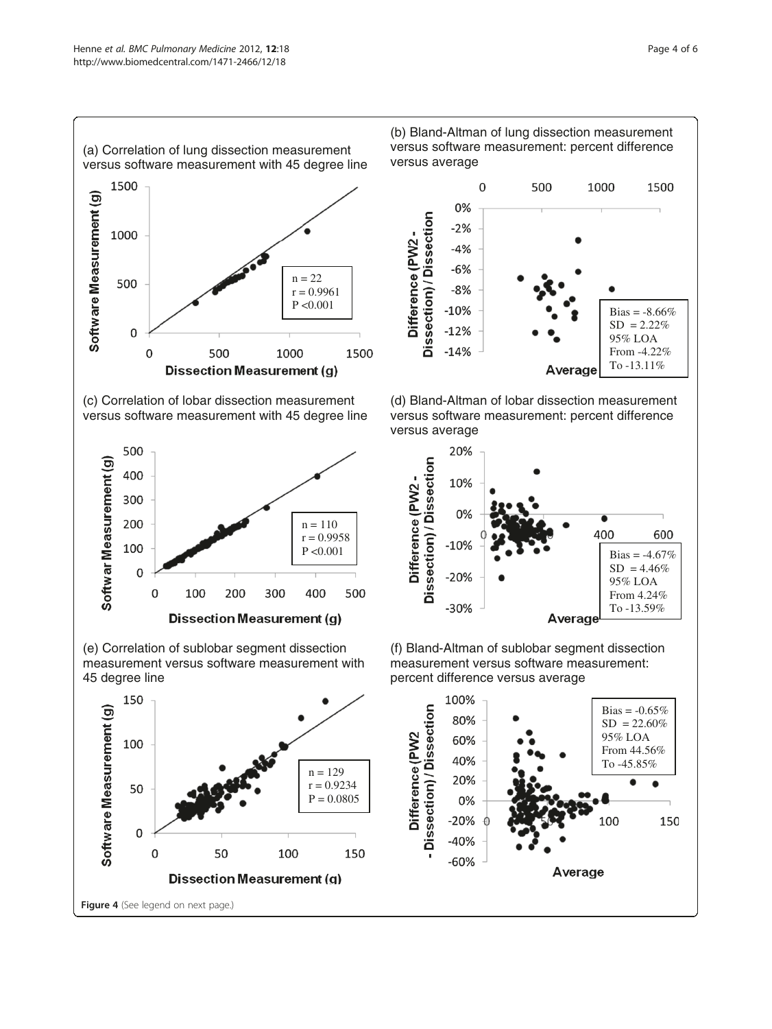1500

1000

500

 $\overline{0}$ 

Software Measurement (g)





(e) Correlation of sublobar segment dissection measurement versus software measurement with 45 degree line



(b) Bland-Altman of lung dissection measurement versus software measurement: percent difference versus average







(f) Bland-Altman of sublobar segment dissection measurement versus software measurement: percent difference versus average

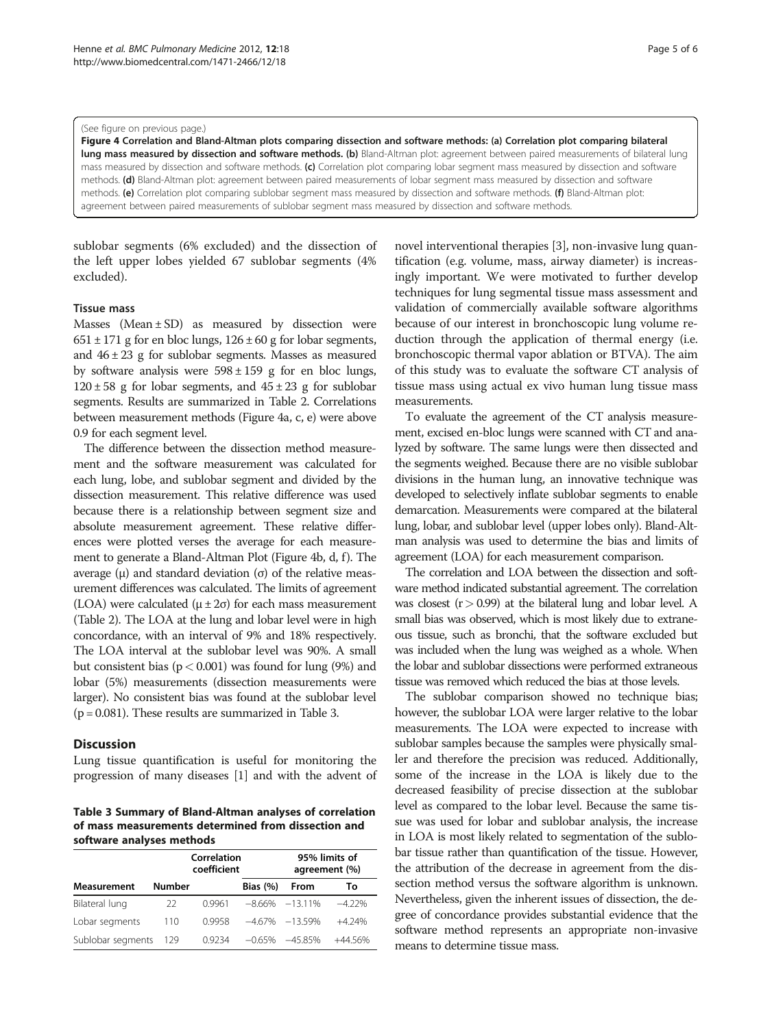#### (See figure on previous page.)

Figure 4 Correlation and Bland-Altman plots comparing dissection and software methods: (a) Correlation plot comparing bilateral lung mass measured by dissection and software methods. (b) Bland-Altman plot: agreement between paired measurements of bilateral lung mass measured by dissection and software methods. (c) Correlation plot comparing lobar segment mass measured by dissection and software methods. (d) Bland-Altman plot: agreement between paired measurements of lobar segment mass measured by dissection and software methods. (e) Correlation plot comparing sublobar segment mass measured by dissection and software methods. (f) Bland-Altman plot: agreement between paired measurements of sublobar segment mass measured by dissection and software methods.

sublobar segments (6% excluded) and the dissection of the left upper lobes yielded 67 sublobar segments (4% excluded).

#### Tissue mass

Masses (Mean  $\pm$  SD) as measured by dissection were  $651 \pm 171$  g for en bloc lungs,  $126 \pm 60$  g for lobar segments, and  $46 \pm 23$  g for sublobar segments. Masses as measured by software analysis were  $598 \pm 159$  g for en bloc lungs,  $120 \pm 58$  g for lobar segments, and  $45 \pm 23$  g for sublobar segments. Results are summarized in Table [2.](#page-2-0) Correlations between measurement methods (Figure 4a, c, e) were above 0.9 for each segment level.

The difference between the dissection method measurement and the software measurement was calculated for each lung, lobe, and sublobar segment and divided by the dissection measurement. This relative difference was used because there is a relationship between segment size and absolute measurement agreement. These relative differences were plotted verses the average for each measurement to generate a Bland-Altman Plot (Figure 4b, d, f). The average  $(μ)$  and standard deviation  $(σ)$  of the relative measurement differences was calculated. The limits of agreement (LOA) were calculated ( $\mu \pm 2\sigma$ ) for each mass measurement (Table [2](#page-2-0)). The LOA at the lung and lobar level were in high concordance, with an interval of 9% and 18% respectively. The LOA interval at the sublobar level was 90%. A small but consistent bias ( $p < 0.001$ ) was found for lung (9%) and lobar (5%) measurements (dissection measurements were larger). No consistent bias was found at the sublobar level  $(p = 0.081)$ . These results are summarized in Table 3.

#### **Discussion**

Lung tissue quantification is useful for monitoring the progression of many diseases [[1](#page-5-0)] and with the advent of

Table 3 Summary of Bland-Altman analyses of correlation of mass measurements determined from dissection and software analyses methods

|                   |               | Correlation<br>coefficient |            | 95% limits of<br>agreement (%) |           |
|-------------------|---------------|----------------------------|------------|--------------------------------|-----------|
| Measurement       | <b>Number</b> |                            | Bias $(%)$ | From                           | То        |
| Bilateral lung    | 22            | 0.9961                     |            | $-8.66\% -13.11\%$             | $-4.22%$  |
| Lobar segments    | 110           | 09958                      | $-467%$    | $-13.59%$                      | $+4.24%$  |
| Sublobar segments | 129           | 09234                      | $-0.65%$   | $-45.85%$                      | $+44.56%$ |

novel interventional therapies [\[3\]](#page-5-0), non-invasive lung quantification (e.g. volume, mass, airway diameter) is increasingly important. We were motivated to further develop techniques for lung segmental tissue mass assessment and validation of commercially available software algorithms because of our interest in bronchoscopic lung volume reduction through the application of thermal energy (i.e. bronchoscopic thermal vapor ablation or BTVA). The aim of this study was to evaluate the software CT analysis of tissue mass using actual ex vivo human lung tissue mass measurements.

To evaluate the agreement of the CT analysis measurement, excised en-bloc lungs were scanned with CT and analyzed by software. The same lungs were then dissected and the segments weighed. Because there are no visible sublobar divisions in the human lung, an innovative technique was developed to selectively inflate sublobar segments to enable demarcation. Measurements were compared at the bilateral lung, lobar, and sublobar level (upper lobes only). Bland-Altman analysis was used to determine the bias and limits of agreement (LOA) for each measurement comparison.

The correlation and LOA between the dissection and software method indicated substantial agreement. The correlation was closest  $(r > 0.99)$  at the bilateral lung and lobar level. A small bias was observed, which is most likely due to extraneous tissue, such as bronchi, that the software excluded but was included when the lung was weighed as a whole. When the lobar and sublobar dissections were performed extraneous tissue was removed which reduced the bias at those levels.

The sublobar comparison showed no technique bias; however, the sublobar LOA were larger relative to the lobar measurements. The LOA were expected to increase with sublobar samples because the samples were physically smaller and therefore the precision was reduced. Additionally, some of the increase in the LOA is likely due to the decreased feasibility of precise dissection at the sublobar level as compared to the lobar level. Because the same tissue was used for lobar and sublobar analysis, the increase in LOA is most likely related to segmentation of the sublobar tissue rather than quantification of the tissue. However, the attribution of the decrease in agreement from the dissection method versus the software algorithm is unknown. Nevertheless, given the inherent issues of dissection, the degree of concordance provides substantial evidence that the software method represents an appropriate non-invasive means to determine tissue mass.